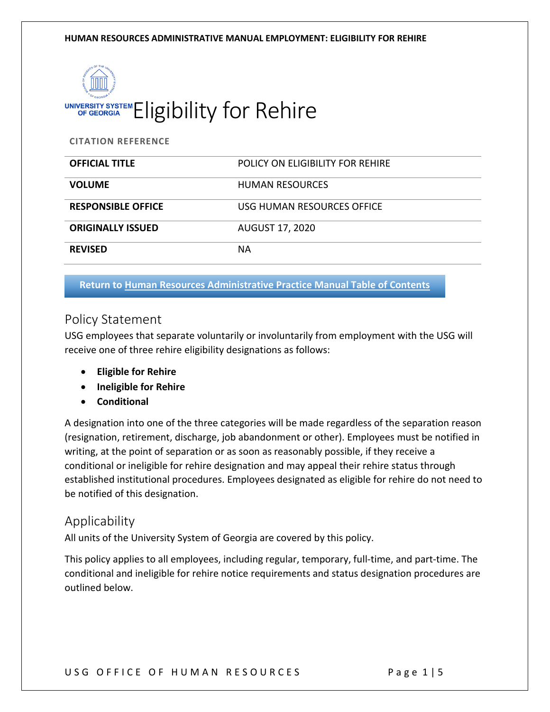

**CITATION REFERENCE**

| <b>OFFICIAL TITLE</b>     | POLICY ON ELIGIBILITY FOR REHIRE |
|---------------------------|----------------------------------|
| <b>VOLUME</b>             | <b>HUMAN RESOURCES</b>           |
| <b>RESPONSIBLE OFFICE</b> | USG HUMAN RESOURCES OFFICE       |
| <b>ORIGINALLY ISSUED</b>  | <b>AUGUST 17, 2020</b>           |
| <b>REVISED</b>            | <b>NA</b>                        |

#### **Return to [Human Resources Administrative Practice Manual Table of Contents](https://www.usg.edu/hr/manual)**

### Policy Statement

USG employees that separate voluntarily or involuntarily from employment with the USG will receive one of three rehire eligibility designations as follows:

- **Eligible for Rehire**
- **Ineligible for Rehire**
- **Conditional**

A designation into one of the three categories will be made regardless of the separation reason (resignation, retirement, discharge, job abandonment or other). Employees must be notified in writing, at the point of separation or as soon as reasonably possible, if they receive a conditional or ineligible for rehire designation and may appeal their rehire status through established institutional procedures. Employees designated as eligible for rehire do not need to be notified of this designation.

### Applicability

All units of the University System of Georgia are covered by this policy.

This policy applies to all employees, including regular, temporary, full-time, and part-time. The conditional and ineligible for rehire notice requirements and status designation procedures are outlined below.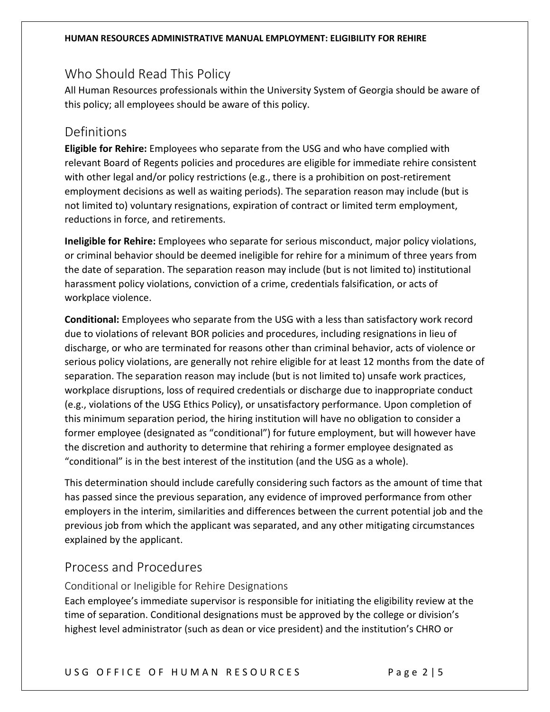## Who Should Read This Policy

All Human Resources professionals within the University System of Georgia should be aware of this policy; all employees should be aware of this policy.

### Definitions

**Eligible for Rehire:** Employees who separate from the USG and who have complied with relevant Board of Regents policies and procedures are eligible for immediate rehire consistent with other legal and/or policy restrictions (e.g., there is a prohibition on post-retirement employment decisions as well as waiting periods). The separation reason may include (but is not limited to) voluntary resignations, expiration of contract or limited term employment, reductions in force, and retirements.

**Ineligible for Rehire:** Employees who separate for serious misconduct, major policy violations, or criminal behavior should be deemed ineligible for rehire for a minimum of three years from the date of separation. The separation reason may include (but is not limited to) institutional harassment policy violations, conviction of a crime, credentials falsification, or acts of workplace violence.

**Conditional:** Employees who separate from the USG with a less than satisfactory work record due to violations of relevant BOR policies and procedures, including resignations in lieu of discharge, or who are terminated for reasons other than criminal behavior, acts of violence or serious policy violations, are generally not rehire eligible for at least 12 months from the date of separation. The separation reason may include (but is not limited to) unsafe work practices, workplace disruptions, loss of required credentials or discharge due to inappropriate conduct (e.g., violations of the USG Ethics Policy), or unsatisfactory performance. Upon completion of this minimum separation period, the hiring institution will have no obligation to consider a former employee (designated as "conditional") for future employment, but will however have the discretion and authority to determine that rehiring a former employee designated as "conditional" is in the best interest of the institution (and the USG as a whole).

This determination should include carefully considering such factors as the amount of time that has passed since the previous separation, any evidence of improved performance from other employers in the interim, similarities and differences between the current potential job and the previous job from which the applicant was separated, and any other mitigating circumstances explained by the applicant.

## Process and Procedures

Conditional or Ineligible for Rehire Designations

Each employee's immediate supervisor is responsible for initiating the eligibility review at the time of separation. Conditional designations must be approved by the college or division's highest level administrator (such as dean or vice president) and the institution's CHRO or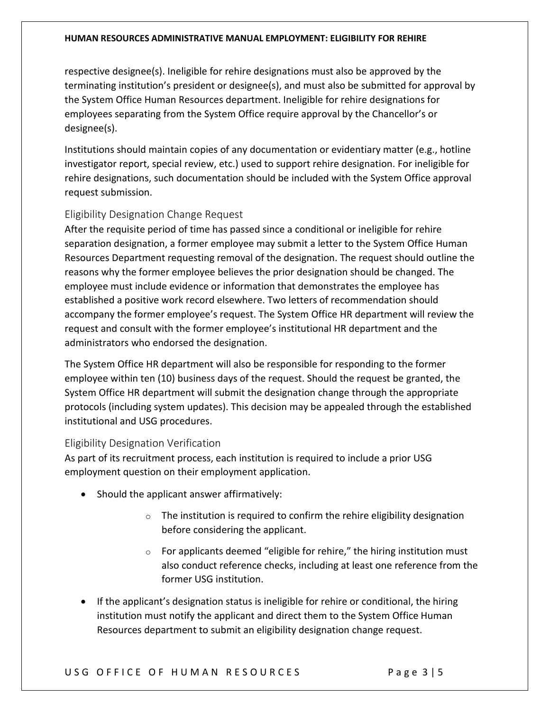#### **HUMAN RESOURCES ADMINISTRATIVE MANUAL EMPLOYMENT: ELIGIBILITY FOR REHIRE**

respective designee(s). Ineligible for rehire designations must also be approved by the terminating institution's president or designee(s), and must also be submitted for approval by the System Office Human Resources department. Ineligible for rehire designations for employees separating from the System Office require approval by the Chancellor's or designee(s).

Institutions should maintain copies of any documentation or evidentiary matter (e.g., hotline investigator report, special review, etc.) used to support rehire designation. For ineligible for rehire designations, such documentation should be included with the System Office approval request submission.

### Eligibility Designation Change Request

After the requisite period of time has passed since a conditional or ineligible for rehire separation designation, a former employee may submit a letter to the System Office Human Resources Department requesting removal of the designation. The request should outline the reasons why the former employee believes the prior designation should be changed. The employee must include evidence or information that demonstrates the employee has established a positive work record elsewhere. Two letters of recommendation should accompany the former employee's request. The System Office HR department will review the request and consult with the former employee's institutional HR department and the administrators who endorsed the designation.

The System Office HR department will also be responsible for responding to the former employee within ten (10) business days of the request. Should the request be granted, the System Office HR department will submit the designation change through the appropriate protocols (including system updates). This decision may be appealed through the established institutional and USG procedures.

### Eligibility Designation Verification

As part of its recruitment process, each institution is required to include a prior USG employment question on their employment application.

- Should the applicant answer affirmatively:
	- $\circ$  The institution is required to confirm the rehire eligibility designation before considering the applicant.
	- $\circ$  For applicants deemed "eligible for rehire," the hiring institution must also conduct reference checks, including at least one reference from the former USG institution.
- If the applicant's designation status is ineligible for rehire or conditional, the hiring institution must notify the applicant and direct them to the System Office Human Resources department to submit an eligibility designation change request.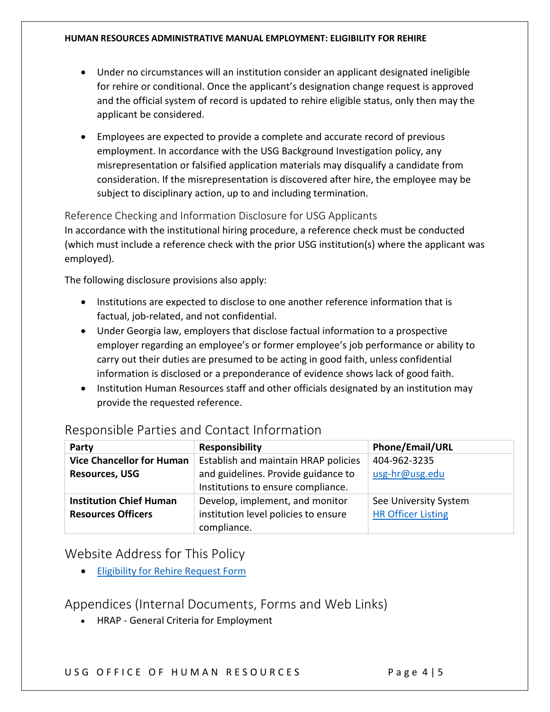#### **HUMAN RESOURCES ADMINISTRATIVE MANUAL EMPLOYMENT: ELIGIBILITY FOR REHIRE**

- Under no circumstances will an institution consider an applicant designated ineligible for rehire or conditional. Once the applicant's designation change request is approved and the official system of record is updated to rehire eligible status, only then may the applicant be considered.
- Employees are expected to provide a complete and accurate record of previous employment. In accordance with the USG Background Investigation policy, any misrepresentation or falsified application materials may disqualify a candidate from consideration. If the misrepresentation is discovered after hire, the employee may be subject to disciplinary action, up to and including termination.

### Reference Checking and Information Disclosure for USG Applicants

In accordance with the institutional hiring procedure, a reference check must be conducted (which must include a reference check with the prior USG institution(s) where the applicant was employed).

The following disclosure provisions also apply:

- Institutions are expected to disclose to one another reference information that is factual, job-related, and not confidential.
- Under Georgia law, employers that disclose factual information to a prospective employer regarding an employee's or former employee's job performance or ability to carry out their duties are presumed to be acting in good faith, unless confidential information is disclosed or a preponderance of evidence shows lack of good faith.
- Institution Human Resources staff and other officials designated by an institution may provide the requested reference.

| Party                            | <b>Responsibility</b>                | Phone/Email/URL           |
|----------------------------------|--------------------------------------|---------------------------|
| <b>Vice Chancellor for Human</b> | Establish and maintain HRAP policies | 404-962-3235              |
| <b>Resources, USG</b>            | and guidelines. Provide guidance to  | usg-hr@usg.edu            |
|                                  | Institutions to ensure compliance.   |                           |
| <b>Institution Chief Human</b>   | Develop, implement, and monitor      | See University System     |
| <b>Resources Officers</b>        | institution level policies to ensure | <b>HR Officer Listing</b> |
|                                  | compliance.                          |                           |

## Responsible Parties and Contact Information

## Website Address for This Policy

• [Eligibility for Rehire Request Form](https://survey.usg.edu/s3/Ineligible-for-Rehire-Review-Request)

# Appendices (Internal Documents, Forms and Web Links)

• HRAP - General Criteria for Employment